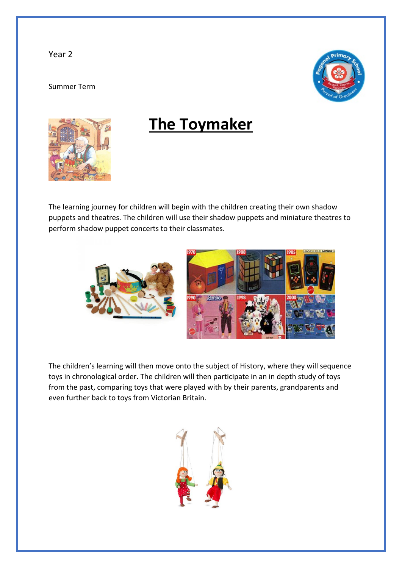## Year 2

## Summer Term





## **The Toymaker**

The learning journey for children will begin with the children creating their own shadow puppets and theatres. The children will use their shadow puppets and miniature theatres to perform shadow puppet concerts to their classmates.



The children's learning will then move onto the subject of History, where they will sequence toys in chronological order. The children will then participate in an in depth study of toys from the past, comparing toys that were played with by their parents, grandparents and even further back to toys from Victorian Britain.